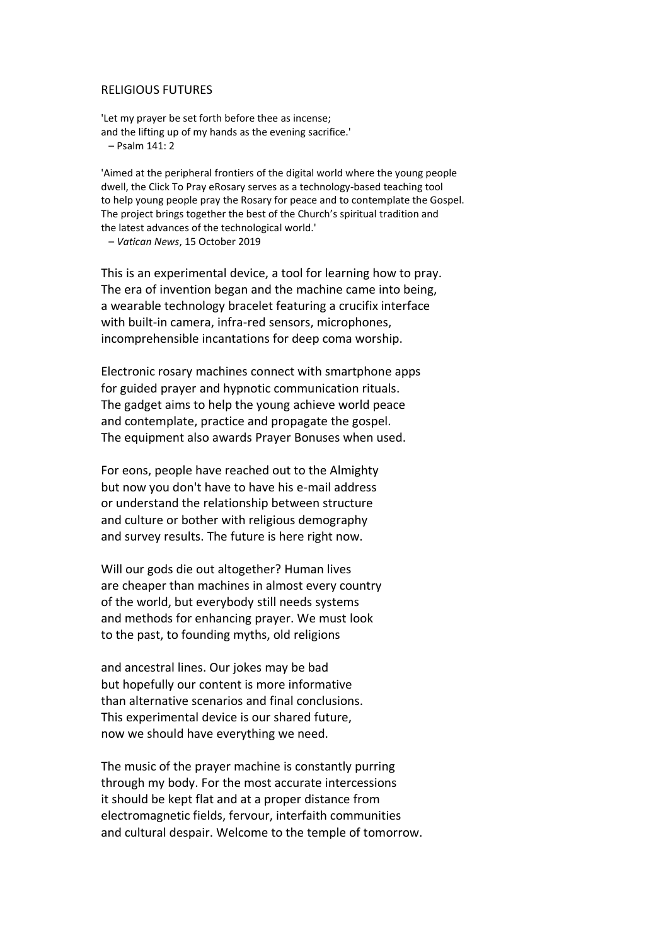## RELIGIOUS FUTURES

'Let my prayer be set forth before thee as incense; and the lifting up of my hands as the evening sacrifice.' – Psalm 141: 2

'Aimed at the peripheral frontiers of the digital world where the young people dwell, the Click To Pray eRosary serves as a technology-based teaching tool to help young people pray the Rosary for peace and to contemplate the Gospel. The project brings together the best of the Church's spiritual tradition and the latest advances of the technological world.'

– *Vatican News*, 15 October 2019

This is an experimental device, a tool for learning how to pray. The era of invention began and the machine came into being, a wearable technology bracelet featuring a crucifix interface with built-in camera, infra-red sensors, microphones, incomprehensible incantations for deep coma worship.

Electronic rosary machines connect with smartphone apps for guided prayer and hypnotic communication rituals. The gadget aims to help the young achieve world peace and contemplate, practice and propagate the gospel. The equipment also awards Prayer Bonuses when used.

For eons, people have reached out to the Almighty but now you don't have to have his e*-*mail address or understand the relationship between structure and culture or bother with religious demography and survey results. The future is here right now.

Will our gods die out altogether? Human lives are cheaper than machines in almost every country of the world, but everybody still needs systems and methods for enhancing prayer. We must look to the past, to founding myths, old religions

and ancestral lines. Our jokes may be bad but hopefully our content is more informative than alternative scenarios and final conclusions. This experimental device is our shared future, now we should have everything we need.

The music of the prayer machine is constantly purring through my body. For the most accurate intercessions it should be kept flat and at a proper distance from electromagnetic fields, fervour, interfaith communities and cultural despair. Welcome to the temple of tomorrow.